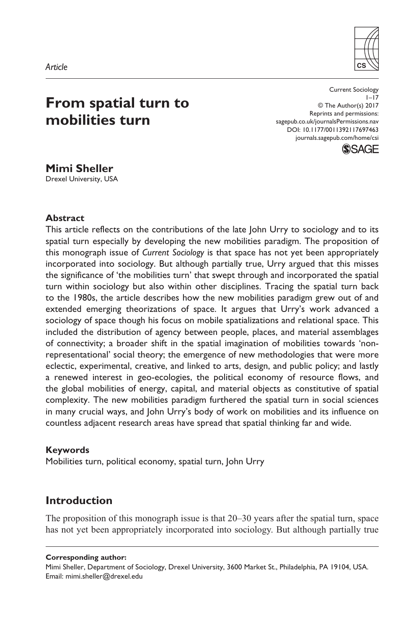

# **From spatial turn to mobilities turn**

https://doi.org/10.1177/0011392117697463 DOI: 10.1177/0011392117697463 Current Sociology  $1 - 17$ © The Author(s) 2017 Reprints and permissions: sagepub.co.uk/journalsPermissions.nav journals.sagepub.com/home/csi



# **Mimi Sheller**

Drexel University, USA

# **Abstract**

This article reflects on the contributions of the late John Urry to sociology and to its spatial turn especially by developing the new mobilities paradigm. The proposition of this monograph issue of *Current Sociology* is that space has not yet been appropriately incorporated into sociology. But although partially true, Urry argued that this misses the significance of 'the mobilities turn' that swept through and incorporated the spatial turn within sociology but also within other disciplines. Tracing the spatial turn back to the 1980s, the article describes how the new mobilities paradigm grew out of and extended emerging theorizations of space. It argues that Urry's work advanced a sociology of space though his focus on mobile spatializations and relational space. This included the distribution of agency between people, places, and material assemblages of connectivity; a broader shift in the spatial imagination of mobilities towards 'nonrepresentational' social theory; the emergence of new methodologies that were more eclectic, experimental, creative, and linked to arts, design, and public policy; and lastly a renewed interest in geo-ecologies, the political economy of resource flows, and the global mobilities of energy, capital, and material objects as constitutive of spatial complexity. The new mobilities paradigm furthered the spatial turn in social sciences in many crucial ways, and John Urry's body of work on mobilities and its influence on countless adjacent research areas have spread that spatial thinking far and wide.

# **Keywords**

Mobilities turn, political economy, spatial turn, John Urry

# **Introduction**

The proposition of this monograph issue is that 20–30 years after the spatial turn, space has not yet been appropriately incorporated into sociology. But although partially true

**Corresponding author:**

Mimi Sheller, Department of Sociology, Drexel University, 3600 Market St., Philadelphia, PA 19104, USA. Email: mimi.sheller@drexel.edu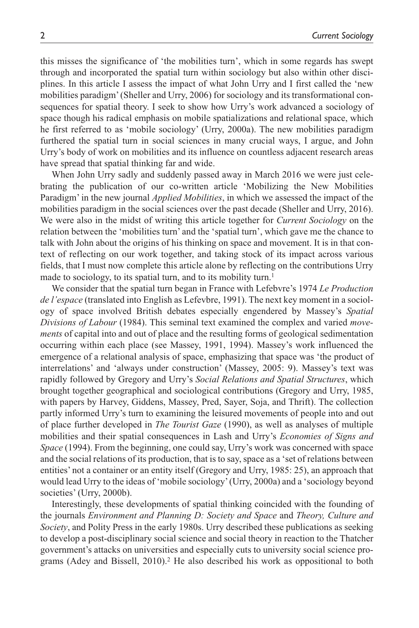this misses the significance of 'the mobilities turn', which in some regards has swept through and incorporated the spatial turn within sociology but also within other disciplines. In this article I assess the impact of what John Urry and I first called the 'new mobilities paradigm' (Sheller and Urry, 2006) for sociology and its transformational consequences for spatial theory. I seek to show how Urry's work advanced a sociology of space though his radical emphasis on mobile spatializations and relational space, which he first referred to as 'mobile sociology' (Urry, 2000a). The new mobilities paradigm furthered the spatial turn in social sciences in many crucial ways, I argue, and John Urry's body of work on mobilities and its influence on countless adjacent research areas have spread that spatial thinking far and wide.

When John Urry sadly and suddenly passed away in March 2016 we were just celebrating the publication of our co-written article 'Mobilizing the New Mobilities Paradigm' in the new journal *Applied Mobilities*, in which we assessed the impact of the mobilities paradigm in the social sciences over the past decade (Sheller and Urry, 2016). We were also in the midst of writing this article together for *Current Sociology* on the relation between the 'mobilities turn' and the 'spatial turn', which gave me the chance to talk with John about the origins of his thinking on space and movement. It is in that context of reflecting on our work together, and taking stock of its impact across various fields, that I must now complete this article alone by reflecting on the contributions Urry made to sociology, to its spatial turn, and to its mobility turn.<sup>1</sup>

We consider that the spatial turn began in France with Lefebvre's 1974 *Le Production de l'espace* (translated into English as Lefevbre, 1991). The next key moment in a sociology of space involved British debates especially engendered by Massey's *Spatial Divisions of Labour* (1984). This seminal text examined the complex and varied *movements* of capital into and out of place and the resulting forms of geological sedimentation occurring within each place (see Massey, 1991, 1994). Massey's work influenced the emergence of a relational analysis of space, emphasizing that space was 'the product of interrelations' and 'always under construction' (Massey, 2005: 9). Massey's text was rapidly followed by Gregory and Urry's *Social Relations and Spatial Structures*, which brought together geographical and sociological contributions (Gregory and Urry, 1985, with papers by Harvey, Giddens, Massey, Pred, Sayer, Soja, and Thrift). The collection partly informed Urry's turn to examining the leisured movements of people into and out of place further developed in *The Tourist Gaze* (1990), as well as analyses of multiple mobilities and their spatial consequences in Lash and Urry's *Economies of Signs and Space* (1994). From the beginning, one could say, Urry's work was concerned with space and the social relations of its production, that is to say, space as a 'set of relations between entities' not a container or an entity itself (Gregory and Urry, 1985: 25), an approach that would lead Urry to the ideas of 'mobile sociology' (Urry, 2000a) and a 'sociology beyond societies' (Urry, 2000b).

Interestingly, these developments of spatial thinking coincided with the founding of the journals *Environment and Planning D: Society and Space* and *Theory, Culture and Society*, and Polity Press in the early 1980s. Urry described these publications as seeking to develop a post-disciplinary social science and social theory in reaction to the Thatcher government's attacks on universities and especially cuts to university social science programs (Adey and Bissell, 2010).<sup>2</sup> He also described his work as oppositional to both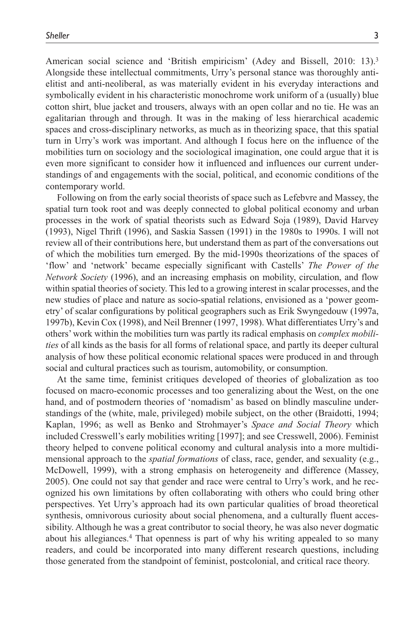American social science and 'British empiricism' (Adey and Bissell, 2010: 13).<sup>3</sup> Alongside these intellectual commitments, Urry's personal stance was thoroughly antielitist and anti-neoliberal, as was materially evident in his everyday interactions and symbolically evident in his characteristic monochrome work uniform of a (usually) blue cotton shirt, blue jacket and trousers, always with an open collar and no tie. He was an egalitarian through and through. It was in the making of less hierarchical academic spaces and cross-disciplinary networks, as much as in theorizing space, that this spatial turn in Urry's work was important. And although I focus here on the influence of the mobilities turn on sociology and the sociological imagination, one could argue that it is even more significant to consider how it influenced and influences our current understandings of and engagements with the social, political, and economic conditions of the contemporary world.

Following on from the early social theorists of space such as Lefebvre and Massey, the spatial turn took root and was deeply connected to global political economy and urban processes in the work of spatial theorists such as Edward Soja (1989), David Harvey (1993), Nigel Thrift (1996), and Saskia Sassen (1991) in the 1980s to 1990s. I will not review all of their contributions here, but understand them as part of the conversations out of which the mobilities turn emerged. By the mid-1990s theorizations of the spaces of 'flow' and 'network' became especially significant with Castells' *The Power of the Network Society* (1996), and an increasing emphasis on mobility, circulation, and flow within spatial theories of society. This led to a growing interest in scalar processes, and the new studies of place and nature as socio-spatial relations, envisioned as a 'power geometry' of scalar configurations by political geographers such as Erik Swyngedouw (1997a, 1997b), Kevin Cox (1998), and Neil Brenner (1997, 1998). What differentiates Urry's and others' work within the mobilities turn was partly its radical emphasis on *complex mobilities* of all kinds as the basis for all forms of relational space, and partly its deeper cultural analysis of how these political economic relational spaces were produced in and through social and cultural practices such as tourism, automobility, or consumption.

At the same time, feminist critiques developed of theories of globalization as too focused on macro-economic processes and too generalizing about the West, on the one hand, and of postmodern theories of 'nomadism' as based on blindly masculine understandings of the (white, male, privileged) mobile subject, on the other (Braidotti, 1994; Kaplan, 1996; as well as Benko and Strohmayer's *Space and Social Theory* which included Cresswell's early mobilities writing [1997]; and see Cresswell, 2006). Feminist theory helped to convene political economy and cultural analysis into a more multidimensional approach to the *spatial formations* of class, race, gender, and sexuality (e.g., McDowell, 1999), with a strong emphasis on heterogeneity and difference (Massey, 2005). One could not say that gender and race were central to Urry's work, and he recognized his own limitations by often collaborating with others who could bring other perspectives. Yet Urry's approach had its own particular qualities of broad theoretical synthesis, omnivorous curiosity about social phenomena, and a culturally fluent accessibility. Although he was a great contributor to social theory, he was also never dogmatic about his allegiances.<sup>4</sup> That openness is part of why his writing appealed to so many readers, and could be incorporated into many different research questions, including those generated from the standpoint of feminist, postcolonial, and critical race theory.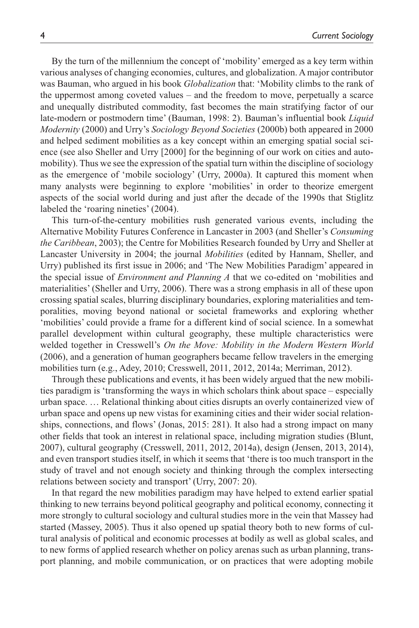By the turn of the millennium the concept of 'mobility' emerged as a key term within various analyses of changing economies, cultures, and globalization. A major contributor was Bauman, who argued in his book *Globalization* that: 'Mobility climbs to the rank of the uppermost among coveted values – and the freedom to move, perpetually a scarce and unequally distributed commodity, fast becomes the main stratifying factor of our late-modern or postmodern time' (Bauman, 1998: 2). Bauman's influential book *Liquid Modernity* (2000) and Urry's *Sociology Beyond Societies* (2000b) both appeared in 2000 and helped sediment mobilities as a key concept within an emerging spatial social science (see also Sheller and Urry [2000] for the beginning of our work on cities and automobility). Thus we see the expression of the spatial turn within the discipline of sociology as the emergence of 'mobile sociology' (Urry, 2000a). It captured this moment when many analysts were beginning to explore 'mobilities' in order to theorize emergent aspects of the social world during and just after the decade of the 1990s that Stiglitz labeled the 'roaring nineties' (2004).

This turn-of-the-century mobilities rush generated various events, including the Alternative Mobility Futures Conference in Lancaster in 2003 (and Sheller's *Consuming the Caribbean*, 2003); the Centre for Mobilities Research founded by Urry and Sheller at Lancaster University in 2004; the journal *Mobilities* (edited by Hannam, Sheller, and Urry) published its first issue in 2006; and 'The New Mobilities Paradigm' appeared in the special issue of *Environment and Planning A* that we co-edited on 'mobilities and materialities' (Sheller and Urry, 2006). There was a strong emphasis in all of these upon crossing spatial scales, blurring disciplinary boundaries, exploring materialities and temporalities, moving beyond national or societal frameworks and exploring whether 'mobilities' could provide a frame for a different kind of social science. In a somewhat parallel development within cultural geography, these multiple characteristics were welded together in Cresswell's *On the Move: Mobility in the Modern Western World* (2006), and a generation of human geographers became fellow travelers in the emerging mobilities turn (e.g., Adey, 2010; Cresswell, 2011, 2012, 2014a; Merriman, 2012).

Through these publications and events, it has been widely argued that the new mobilities paradigm is 'transforming the ways in which scholars think about space – especially urban space. … Relational thinking about cities disrupts an overly containerized view of urban space and opens up new vistas for examining cities and their wider social relationships, connections, and flows' (Jonas, 2015: 281). It also had a strong impact on many other fields that took an interest in relational space, including migration studies (Blunt, 2007), cultural geography (Cresswell, 2011, 2012, 2014a), design (Jensen, 2013, 2014), and even transport studies itself, in which it seems that 'there is too much transport in the study of travel and not enough society and thinking through the complex intersecting relations between society and transport' (Urry, 2007: 20).

In that regard the new mobilities paradigm may have helped to extend earlier spatial thinking to new terrains beyond political geography and political economy, connecting it more strongly to cultural sociology and cultural studies more in the vein that Massey had started (Massey, 2005). Thus it also opened up spatial theory both to new forms of cultural analysis of political and economic processes at bodily as well as global scales, and to new forms of applied research whether on policy arenas such as urban planning, transport planning, and mobile communication, or on practices that were adopting mobile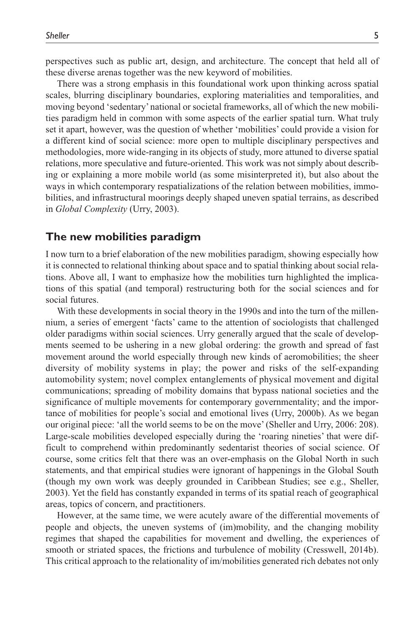perspectives such as public art, design, and architecture. The concept that held all of these diverse arenas together was the new keyword of mobilities.

There was a strong emphasis in this foundational work upon thinking across spatial scales, blurring disciplinary boundaries, exploring materialities and temporalities, and moving beyond 'sedentary' national or societal frameworks, all of which the new mobilities paradigm held in common with some aspects of the earlier spatial turn. What truly set it apart, however, was the question of whether 'mobilities' could provide a vision for a different kind of social science: more open to multiple disciplinary perspectives and methodologies, more wide-ranging in its objects of study, more attuned to diverse spatial relations, more speculative and future-oriented. This work was not simply about describing or explaining a more mobile world (as some misinterpreted it), but also about the ways in which contemporary respatializations of the relation between mobilities, immobilities, and infrastructural moorings deeply shaped uneven spatial terrains, as described in *Global Complexity* (Urry, 2003).

## **The new mobilities paradigm**

I now turn to a brief elaboration of the new mobilities paradigm, showing especially how it is connected to relational thinking about space and to spatial thinking about social relations. Above all, I want to emphasize how the mobilities turn highlighted the implications of this spatial (and temporal) restructuring both for the social sciences and for social futures.

With these developments in social theory in the 1990s and into the turn of the millennium, a series of emergent 'facts' came to the attention of sociologists that challenged older paradigms within social sciences. Urry generally argued that the scale of developments seemed to be ushering in a new global ordering: the growth and spread of fast movement around the world especially through new kinds of aeromobilities; the sheer diversity of mobility systems in play; the power and risks of the self-expanding automobility system; novel complex entanglements of physical movement and digital communications; spreading of mobility domains that bypass national societies and the significance of multiple movements for contemporary governmentality; and the importance of mobilities for people's social and emotional lives (Urry, 2000b). As we began our original piece: 'all the world seems to be on the move' (Sheller and Urry, 2006: 208). Large-scale mobilities developed especially during the 'roaring nineties' that were difficult to comprehend within predominantly sedentarist theories of social science. Of course, some critics felt that there was an over-emphasis on the Global North in such statements, and that empirical studies were ignorant of happenings in the Global South (though my own work was deeply grounded in Caribbean Studies; see e.g., Sheller, 2003). Yet the field has constantly expanded in terms of its spatial reach of geographical areas, topics of concern, and practitioners.

However, at the same time, we were acutely aware of the differential movements of people and objects, the uneven systems of (im)mobility, and the changing mobility regimes that shaped the capabilities for movement and dwelling, the experiences of smooth or striated spaces, the frictions and turbulence of mobility (Cresswell, 2014b). This critical approach to the relationality of im/mobilities generated rich debates not only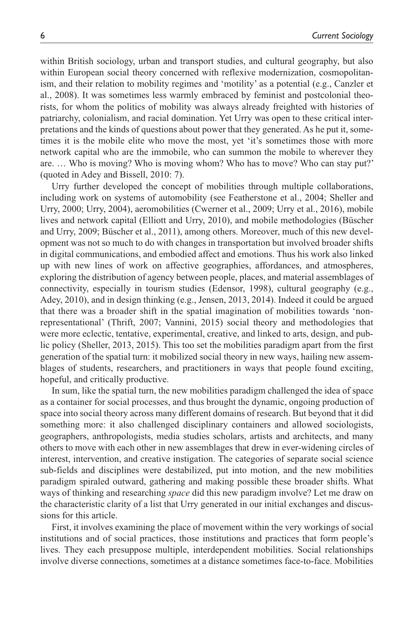within British sociology, urban and transport studies, and cultural geography, but also within European social theory concerned with reflexive modernization, cosmopolitanism, and their relation to mobility regimes and 'motility' as a potential (e.g., Canzler et al., 2008). It was sometimes less warmly embraced by feminist and postcolonial theorists, for whom the politics of mobility was always already freighted with histories of patriarchy, colonialism, and racial domination. Yet Urry was open to these critical interpretations and the kinds of questions about power that they generated. As he put it, sometimes it is the mobile elite who move the most, yet 'it's sometimes those with more network capital who are the immobile, who can summon the mobile to wherever they are. … Who is moving? Who is moving whom? Who has to move? Who can stay put?' (quoted in Adey and Bissell, 2010: 7).

Urry further developed the concept of mobilities through multiple collaborations, including work on systems of automobility (see Featherstone et al., 2004; Sheller and Urry, 2000; Urry, 2004), aeromobilities (Cwerner et al., 2009; Urry et al., 2016), mobile lives and network capital (Elliott and Urry, 2010), and mobile methodologies (Büscher and Urry, 2009; Büscher et al., 2011), among others. Moreover, much of this new development was not so much to do with changes in transportation but involved broader shifts in digital communications, and embodied affect and emotions. Thus his work also linked up with new lines of work on affective geographies, affordances, and atmospheres, exploring the distribution of agency between people, places, and material assemblages of connectivity, especially in tourism studies (Edensor, 1998), cultural geography (e.g., Adey, 2010), and in design thinking (e.g., Jensen, 2013, 2014). Indeed it could be argued that there was a broader shift in the spatial imagination of mobilities towards 'nonrepresentational' (Thrift, 2007; Vannini, 2015) social theory and methodologies that were more eclectic, tentative, experimental, creative, and linked to arts, design, and public policy (Sheller, 2013, 2015). This too set the mobilities paradigm apart from the first generation of the spatial turn: it mobilized social theory in new ways, hailing new assemblages of students, researchers, and practitioners in ways that people found exciting, hopeful, and critically productive.

In sum, like the spatial turn, the new mobilities paradigm challenged the idea of space as a container for social processes, and thus brought the dynamic, ongoing production of space into social theory across many different domains of research. But beyond that it did something more: it also challenged disciplinary containers and allowed sociologists, geographers, anthropologists, media studies scholars, artists and architects, and many others to move with each other in new assemblages that drew in ever-widening circles of interest, intervention, and creative instigation. The categories of separate social science sub-fields and disciplines were destabilized, put into motion, and the new mobilities paradigm spiraled outward, gathering and making possible these broader shifts. What ways of thinking and researching *space* did this new paradigm involve? Let me draw on the characteristic clarity of a list that Urry generated in our initial exchanges and discussions for this article.

First, it involves examining the place of movement within the very workings of social institutions and of social practices, those institutions and practices that form people's lives. They each presuppose multiple, interdependent mobilities. Social relationships involve diverse connections, sometimes at a distance sometimes face-to-face. Mobilities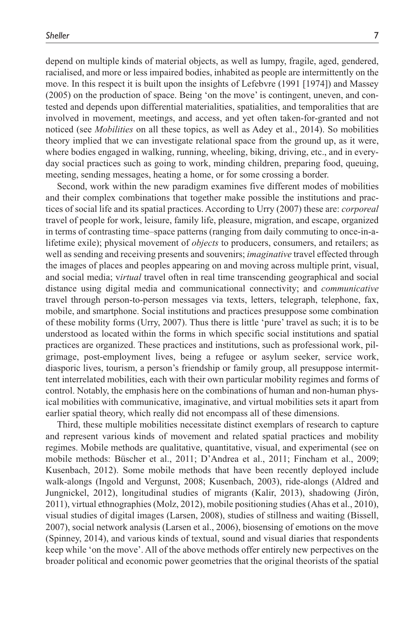depend on multiple kinds of material objects, as well as lumpy, fragile, aged, gendered, racialised, and more or less impaired bodies, inhabited as people are intermittently on the move. In this respect it is built upon the insights of Lefebvre (1991 [1974]) and Massey (2005) on the production of space. Being 'on the move' is contingent, uneven, and contested and depends upon differential materialities, spatialities, and temporalities that are involved in movement, meetings, and access, and yet often taken-for-granted and not noticed (see *Mobilities* on all these topics, as well as Adey et al., 2014). So mobilities theory implied that we can investigate relational space from the ground up, as it were, where bodies engaged in walking, running, wheeling, biking, driving, etc., and in everyday social practices such as going to work, minding children, preparing food, queuing, meeting, sending messages, heating a home, or for some crossing a border.

Second, work within the new paradigm examines five different modes of mobilities and their complex combinations that together make possible the institutions and practices of social life and its spatial practices. According to Urry (2007) these are: *corporeal* travel of people for work, leisure, family life, pleasure, migration, and escape, organized in terms of contrasting time–space patterns (ranging from daily commuting to once-in-alifetime exile); physical movement of *objects* to producers, consumers, and retailers; as well as sending and receiving presents and souvenirs; *imaginative* travel effected through the images of places and peoples appearing on and moving across multiple print, visual, and social media; v*irtual* travel often in real time transcending geographical and social distance using digital media and communicational connectivity; and *communicative* travel through person-to-person messages via texts, letters, telegraph, telephone, fax, mobile, and smartphone. Social institutions and practices presuppose some combination of these mobility forms (Urry, 2007). Thus there is little 'pure' travel as such; it is to be understood as located within the forms in which specific social institutions and spatial practices are organized. These practices and institutions, such as professional work, pilgrimage, post-employment lives, being a refugee or asylum seeker, service work, diasporic lives, tourism, a person's friendship or family group, all presuppose intermittent interrelated mobilities, each with their own particular mobility regimes and forms of control. Notably, the emphasis here on the combinations of human and non-human physical mobilities with communicative, imaginative, and virtual mobilities sets it apart from earlier spatial theory, which really did not encompass all of these dimensions.

Third, these multiple mobilities necessitate distinct exemplars of research to capture and represent various kinds of movement and related spatial practices and mobility regimes. Mobile methods are qualitative, quantitative, visual, and experimental (see on mobile methods: Büscher et al., 2011; D'Andrea et al., 2011; Fincham et al., 2009; Kusenbach, 2012). Some mobile methods that have been recently deployed include walk-alongs (Ingold and Vergunst, 2008; Kusenbach, 2003), ride-alongs (Aldred and Jungnickel, 2012), longitudinal studies of migrants (Kalir, 2013), shadowing (Jirón, 2011), virtual ethnographies (Molz, 2012), mobile positioning studies (Ahas et al., 2010), visual studies of digital images (Larsen, 2008), studies of stillness and waiting (Bissell, 2007), social network analysis (Larsen et al., 2006), biosensing of emotions on the move (Spinney, 2014), and various kinds of textual, sound and visual diaries that respondents keep while 'on the move'. All of the above methods offer entirely new perpectives on the broader political and economic power geometries that the original theorists of the spatial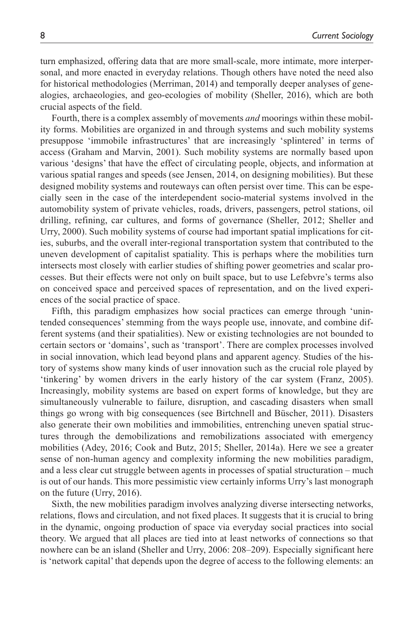turn emphasized, offering data that are more small-scale, more intimate, more interpersonal, and more enacted in everyday relations. Though others have noted the need also for historical methodologies (Merriman, 2014) and temporally deeper analyses of genealogies, archaeologies, and geo-ecologies of mobility (Sheller, 2016), which are both crucial aspects of the field.

Fourth, there is a complex assembly of movements *and* moorings within these mobility forms. Mobilities are organized in and through systems and such mobility systems presuppose 'immobile infrastructures' that are increasingly 'splintered' in terms of access (Graham and Marvin, 2001). Such mobility systems are normally based upon various 'designs' that have the effect of circulating people, objects, and information at various spatial ranges and speeds (see Jensen, 2014, on designing mobilities). But these designed mobility systems and routeways can often persist over time. This can be especially seen in the case of the interdependent socio-material systems involved in the automobility system of private vehicles, roads, drivers, passengers, petrol stations, oil drilling, refining, car cultures, and forms of governance (Sheller, 2012; Sheller and Urry, 2000). Such mobility systems of course had important spatial implications for cities, suburbs, and the overall inter-regional transportation system that contributed to the uneven development of capitalist spatiality. This is perhaps where the mobilities turn intersects most closely with earlier studies of shifting power geometries and scalar processes. But their effects were not only on built space, but to use Lefebvre's terms also on conceived space and perceived spaces of representation, and on the lived experiences of the social practice of space.

Fifth, this paradigm emphasizes how social practices can emerge through 'unintended consequences' stemming from the ways people use, innovate, and combine different systems (and their spatialities). New or existing technologies are not bounded to certain sectors or 'domains', such as 'transport'. There are complex processes involved in social innovation, which lead beyond plans and apparent agency. Studies of the history of systems show many kinds of user innovation such as the crucial role played by 'tinkering' by women drivers in the early history of the car system (Franz, 2005). Increasingly, mobility systems are based on expert forms of knowledge, but they are simultaneously vulnerable to failure, disruption, and cascading disasters when small things go wrong with big consequences (see Birtchnell and Büscher, 2011). Disasters also generate their own mobilities and immobilities, entrenching uneven spatial structures through the demobilizations and remobilizations associated with emergency mobilities (Adey, 2016; Cook and Butz, 2015; Sheller, 2014a). Here we see a greater sense of non-human agency and complexity informing the new mobilities paradigm, and a less clear cut struggle between agents in processes of spatial structuration – much is out of our hands. This more pessimistic view certainly informs Urry's last monograph on the future (Urry, 2016).

Sixth, the new mobilities paradigm involves analyzing diverse intersecting networks, relations, flows and circulation, and not fixed places. It suggests that it is crucial to bring in the dynamic, ongoing production of space via everyday social practices into social theory. We argued that all places are tied into at least networks of connections so that nowhere can be an island (Sheller and Urry, 2006: 208–209). Especially significant here is 'network capital' that depends upon the degree of access to the following elements: an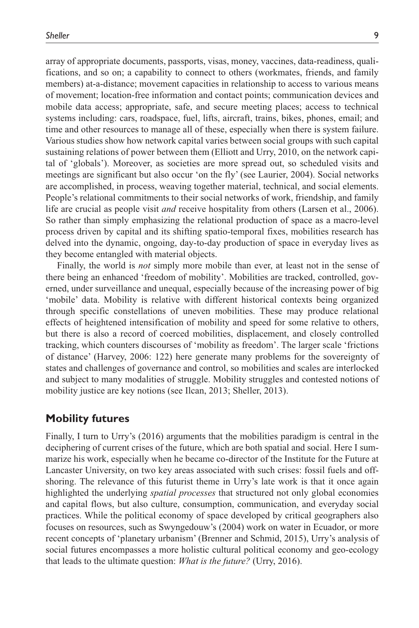array of appropriate documents, passports, visas, money, vaccines, data-readiness, qualifications, and so on; a capability to connect to others (workmates, friends, and family members) at-a-distance; movement capacities in relationship to access to various means of movement; location-free information and contact points; communication devices and mobile data access; appropriate, safe, and secure meeting places; access to technical systems including: cars, roadspace, fuel, lifts, aircraft, trains, bikes, phones, email; and time and other resources to manage all of these, especially when there is system failure. Various studies show how network capital varies between social groups with such capital sustaining relations of power between them (Elliott and Urry, 2010, on the network capital of 'globals'). Moreover, as societies are more spread out, so scheduled visits and meetings are significant but also occur 'on the fly' (see Laurier, 2004). Social networks are accomplished, in process, weaving together material, technical, and social elements. People's relational commitments to their social networks of work, friendship, and family life are crucial as people visit *and* receive hospitality from others (Larsen et al., 2006). So rather than simply emphasizing the relational production of space as a macro-level process driven by capital and its shifting spatio-temporal fixes, mobilities research has delved into the dynamic, ongoing, day-to-day production of space in everyday lives as they become entangled with material objects.

Finally, the world is *not* simply more mobile than ever, at least not in the sense of there being an enhanced 'freedom of mobility'. Mobilities are tracked, controlled, governed, under surveillance and unequal, especially because of the increasing power of big 'mobile' data. Mobility is relative with different historical contexts being organized through specific constellations of uneven mobilities. These may produce relational effects of heightened intensification of mobility and speed for some relative to others, but there is also a record of coerced mobilities, displacement, and closely controlled tracking, which counters discourses of 'mobility as freedom'. The larger scale 'frictions of distance' (Harvey, 2006: 122) here generate many problems for the sovereignty of states and challenges of governance and control, so mobilities and scales are interlocked and subject to many modalities of struggle. Mobility struggles and contested notions of mobility justice are key notions (see Ilcan, 2013; Sheller, 2013).

# **Mobility futures**

Finally, I turn to Urry's (2016) arguments that the mobilities paradigm is central in the deciphering of current crises of the future, which are both spatial and social. Here I summarize his work, especially when he became co-director of the Institute for the Future at Lancaster University, on two key areas associated with such crises: fossil fuels and offshoring. The relevance of this futurist theme in Urry's late work is that it once again highlighted the underlying *spatial processes* that structured not only global economies and capital flows, but also culture, consumption, communication, and everyday social practices. While the political economy of space developed by critical geographers also focuses on resources, such as Swyngedouw's (2004) work on water in Ecuador, or more recent concepts of 'planetary urbanism' (Brenner and Schmid, 2015), Urry's analysis of social futures encompasses a more holistic cultural political economy and geo-ecology that leads to the ultimate question: *What is the future?* (Urry, 2016).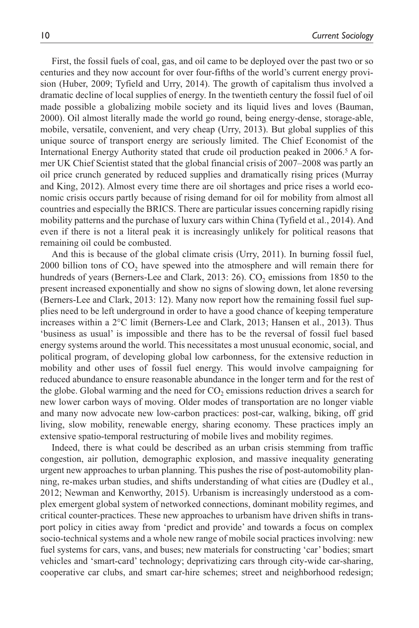First, the fossil fuels of coal, gas, and oil came to be deployed over the past two or so centuries and they now account for over four-fifths of the world's current energy provision (Huber, 2009; Tyfield and Urry, 2014). The growth of capitalism thus involved a dramatic decline of local supplies of energy. In the twentieth century the fossil fuel of oil made possible a globalizing mobile society and its liquid lives and loves (Bauman, 2000). Oil almost literally made the world go round, being energy-dense, storage-able, mobile, versatile, convenient, and very cheap (Urry, 2013). But global supplies of this unique source of transport energy are seriously limited. The Chief Economist of the International Energy Authority stated that crude oil production peaked in 2006.<sup>5</sup> A former UK Chief Scientist stated that the global financial crisis of 2007–2008 was partly an oil price crunch generated by reduced supplies and dramatically rising prices (Murray and King, 2012). Almost every time there are oil shortages and price rises a world economic crisis occurs partly because of rising demand for oil for mobility from almost all countries and especially the BRICS. There are particular issues concerning rapidly rising mobility patterns and the purchase of luxury cars within China (Tyfield et al., 2014). And even if there is not a literal peak it is increasingly unlikely for political reasons that remaining oil could be combusted.

And this is because of the global climate crisis (Urry, 2011). In burning fossil fuel,  $2000$  billion tons of  $CO<sub>2</sub>$  have spewed into the atmosphere and will remain there for hundreds of years (Berners-Lee and Clark, 2013: 26).  $CO_2$  emissions from 1850 to the present increased exponentially and show no signs of slowing down, let alone reversing (Berners-Lee and Clark, 2013: 12). Many now report how the remaining fossil fuel supplies need to be left underground in order to have a good chance of keeping temperature increases within a 2°C limit (Berners-Lee and Clark, 2013; Hansen et al., 2013). Thus 'business as usual' is impossible and there has to be the reversal of fossil fuel based energy systems around the world. This necessitates a most unusual economic, social, and political program, of developing global low carbonness, for the extensive reduction in mobility and other uses of fossil fuel energy. This would involve campaigning for reduced abundance to ensure reasonable abundance in the longer term and for the rest of the globe. Global warming and the need for  $CO_2$  emissions reduction drives a search for new lower carbon ways of moving. Older modes of transportation are no longer viable and many now advocate new low-carbon practices: post-car, walking, biking, off grid living, slow mobility, renewable energy, sharing economy. These practices imply an extensive spatio-temporal restructuring of mobile lives and mobility regimes.

Indeed, there is what could be described as an urban crisis stemming from traffic congestion, air pollution, demographic explosion, and massive inequality generating urgent new approaches to urban planning. This pushes the rise of post-automobility planning, re-makes urban studies, and shifts understanding of what cities are (Dudley et al., 2012; Newman and Kenworthy, 2015). Urbanism is increasingly understood as a complex emergent global system of networked connections, dominant mobility regimes, and critical counter-practices. These new approaches to urbanism have driven shifts in transport policy in cities away from 'predict and provide' and towards a focus on complex socio-technical systems and a whole new range of mobile social practices involving: new fuel systems for cars, vans, and buses; new materials for constructing 'car' bodies; smart vehicles and 'smart-card' technology; deprivatizing cars through city-wide car-sharing, cooperative car clubs, and smart car-hire schemes; street and neighborhood redesign;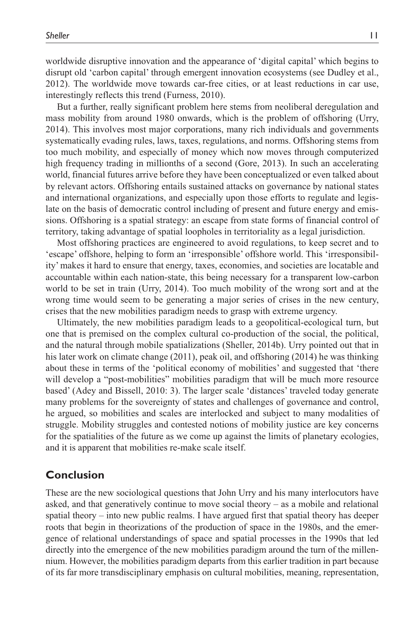worldwide disruptive innovation and the appearance of 'digital capital' which begins to disrupt old 'carbon capital' through emergent innovation ecosystems (see Dudley et al., 2012). The worldwide move towards car-free cities, or at least reductions in car use, interestingly reflects this trend (Furness, 2010).

But a further, really significant problem here stems from neoliberal deregulation and mass mobility from around 1980 onwards, which is the problem of offshoring (Urry, 2014). This involves most major corporations, many rich individuals and governments systematically evading rules, laws, taxes, regulations, and norms. Offshoring stems from too much mobility, and especially of money which now moves through computerized high frequency trading in millionths of a second (Gore, 2013). In such an accelerating world, financial futures arrive before they have been conceptualized or even talked about by relevant actors. Offshoring entails sustained attacks on governance by national states and international organizations, and especially upon those efforts to regulate and legislate on the basis of democratic control including of present and future energy and emissions. Offshoring is a spatial strategy: an escape from state forms of financial control of territory, taking advantage of spatial loopholes in territoriality as a legal jurisdiction.

Most offshoring practices are engineered to avoid regulations, to keep secret and to 'escape' offshore, helping to form an 'irresponsible' offshore world. This 'irresponsibility' makes it hard to ensure that energy, taxes, economies, and societies are locatable and accountable within each nation-state, this being necessary for a transparent low-carbon world to be set in train (Urry, 2014). Too much mobility of the wrong sort and at the wrong time would seem to be generating a major series of crises in the new century, crises that the new mobilities paradigm needs to grasp with extreme urgency.

Ultimately, the new mobilities paradigm leads to a geopolitical-ecological turn, but one that is premised on the complex cultural co-production of the social, the political, and the natural through mobile spatializations (Sheller, 2014b). Urry pointed out that in his later work on climate change (2011), peak oil, and offshoring (2014) he was thinking about these in terms of the 'political economy of mobilities' and suggested that 'there will develop a "post-mobilities" mobilities paradigm that will be much more resource based' (Adey and Bissell, 2010: 3). The larger scale 'distances' traveled today generate many problems for the sovereignty of states and challenges of governance and control, he argued, so mobilities and scales are interlocked and subject to many modalities of struggle. Mobility struggles and contested notions of mobility justice are key concerns for the spatialities of the future as we come up against the limits of planetary ecologies, and it is apparent that mobilities re-make scale itself.

# **Conclusion**

These are the new sociological questions that John Urry and his many interlocutors have asked, and that generatively continue to move social theory – as a mobile and relational spatial theory – into new public realms. I have argued first that spatial theory has deeper roots that begin in theorizations of the production of space in the 1980s, and the emergence of relational understandings of space and spatial processes in the 1990s that led directly into the emergence of the new mobilities paradigm around the turn of the millennium. However, the mobilities paradigm departs from this earlier tradition in part because of its far more transdisciplinary emphasis on cultural mobilities, meaning, representation,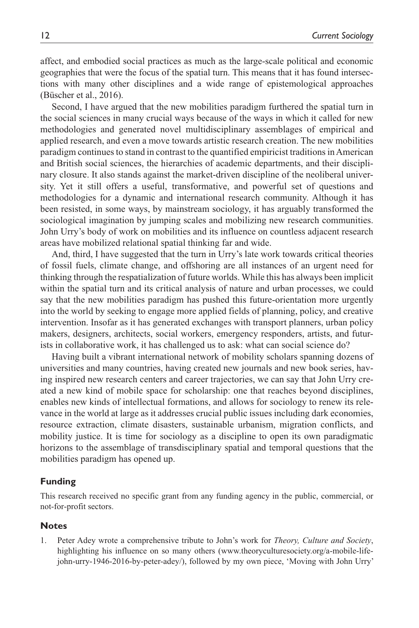affect, and embodied social practices as much as the large-scale political and economic geographies that were the focus of the spatial turn. This means that it has found intersections with many other disciplines and a wide range of epistemological approaches (Büscher et al., 2016).

Second, I have argued that the new mobilities paradigm furthered the spatial turn in the social sciences in many crucial ways because of the ways in which it called for new methodologies and generated novel multidisciplinary assemblages of empirical and applied research, and even a move towards artistic research creation. The new mobilities paradigm continues to stand in contrast to the quantified empiricist traditions in American and British social sciences, the hierarchies of academic departments, and their disciplinary closure. It also stands against the market-driven discipline of the neoliberal university. Yet it still offers a useful, transformative, and powerful set of questions and methodologies for a dynamic and international research community. Although it has been resisted, in some ways, by mainstream sociology, it has arguably transformed the sociological imagination by jumping scales and mobilizing new research communities. John Urry's body of work on mobilities and its influence on countless adjacent research areas have mobilized relational spatial thinking far and wide.

And, third, I have suggested that the turn in Urry's late work towards critical theories of fossil fuels, climate change, and offshoring are all instances of an urgent need for thinking through the respatialization of future worlds. While this has always been implicit within the spatial turn and its critical analysis of nature and urban processes, we could say that the new mobilities paradigm has pushed this future-orientation more urgently into the world by seeking to engage more applied fields of planning, policy, and creative intervention. Insofar as it has generated exchanges with transport planners, urban policy makers, designers, architects, social workers, emergency responders, artists, and futurists in collaborative work, it has challenged us to ask: what can social science do?

Having built a vibrant international network of mobility scholars spanning dozens of universities and many countries, having created new journals and new book series, having inspired new research centers and career trajectories, we can say that John Urry created a new kind of mobile space for scholarship: one that reaches beyond disciplines, enables new kinds of intellectual formations, and allows for sociology to renew its relevance in the world at large as it addresses crucial public issues including dark economies, resource extraction, climate disasters, sustainable urbanism, migration conflicts, and mobility justice. It is time for sociology as a discipline to open its own paradigmatic horizons to the assemblage of transdisciplinary spatial and temporal questions that the mobilities paradigm has opened up.

#### **Funding**

This research received no specific grant from any funding agency in the public, commercial, or not-for-profit sectors.

#### **Notes**

1. Peter Adey wrote a comprehensive tribute to John's work for *Theory, Culture and Society*, highlighting his influence on so many others (www.theoryculturesociety.org/a-mobile-lifejohn-urry-1946-2016-by-peter-adey/), followed by my own piece, 'Moving with John Urry'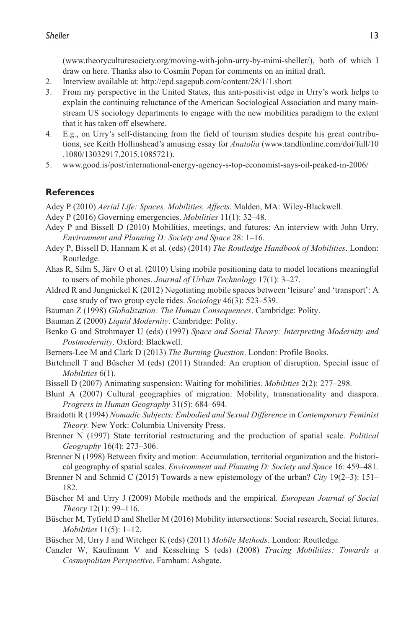(www.theoryculturesociety.org/moving-with-john-urry-by-mimi-sheller/), both of which I draw on here. Thanks also to Cosmin Popan for comments on an initial draft.

- 2. Interview available at: http://epd.sagepub.com/content/28/1/1.short
- 3. From my perspective in the United States, this anti-positivist edge in Urry's work helps to explain the continuing reluctance of the American Sociological Association and many mainstream US sociology departments to engage with the new mobilities paradigm to the extent that it has taken off elsewhere.
- 4. E.g., on Urry's self-distancing from the field of tourism studies despite his great contributions, see Keith Hollinshead's amusing essay for *Anatolia* (www.tandfonline.com/doi/full/10 .1080/13032917.2015.1085721).
- 5. www.good.is/post/international-energy-agency-s-top-economist-says-oil-peaked-in-2006/

#### **References**

Adey P (2010) *Aerial Life: Spaces, Mobilities, Affects*. Malden, MA: Wiley-Blackwell.

- Adey P (2016) Governing emergencies. *Mobilities* 11(1): 32–48.
- Adey P and Bissell D (2010) Mobilities, meetings, and futures: An interview with John Urry. *Environment and Planning D: Society and Space* 28: 1–16.
- Adey P, Bissell D, Hannam K et al. (eds) (2014) *The Routledge Handbook of Mobilities*. London: Routledge.
- Ahas R, Silm S, Järv O et al. (2010) Using mobile positioning data to model locations meaningful to users of mobile phones. *Journal of Urban Technology* 17(1): 3–27.
- Aldred R and Jungnickel K (2012) Negotiating mobile spaces between 'leisure' and 'transport': A case study of two group cycle rides. *Sociology* 46(3): 523–539.
- Bauman Z (1998) *Globalization: The Human Consequences*. Cambridge: Polity.
- Bauman Z (2000) *Liquid Modernity*. Cambridge: Polity.
- Benko G and Strohmayer U (eds) (1997) *Space and Social Theory: Interpreting Modernity and Postmodernity*. Oxford: Blackwell.
- Berners-Lee M and Clark D (2013) *The Burning Question*. London: Profile Books.
- Birtchnell T and Büscher M (eds) (2011) Stranded: An eruption of disruption. Special issue of *Mobilities* 6(1).
- Bissell D (2007) Animating suspension: Waiting for mobilities. *Mobilities* 2(2): 277–298.
- Blunt A (2007) Cultural geographies of migration: Mobility, transnationality and diaspora. *Progress in Human Geography* 31(5): 684–694.
- Braidotti R (1994) *Nomadic Subjects; Embodied and Sexual Difference* in *Contemporary Feminist Theory*. New York: Columbia University Press.
- Brenner N (1997) State territorial restructuring and the production of spatial scale. *Political Geography* 16(4): 273–306.
- Brenner N (1998) Between fixity and motion: Accumulation, territorial organization and the historical geography of spatial scales. *Environment and Planning D: Society and Space* 16: 459–481.
- Brenner N and Schmid C (2015) Towards a new epistemology of the urban? *City* 19(2–3): 151– 182.
- Büscher M and Urry J (2009) Mobile methods and the empirical. *European Journal of Social Theory* 12(1): 99–116.
- Büscher M, Tyfield D and Sheller M (2016) Mobility intersections: Social research, Social futures. *Mobilities* 11(5): 1–12.
- Büscher M, Urry J and Witchger K (eds) (2011) *Mobile Methods*. London: Routledge.
- Canzler W, Kaufmann V and Kesselring S (eds) (2008) *Tracing Mobilities: Towards a Cosmopolitan Perspective*. Farnham: Ashgate.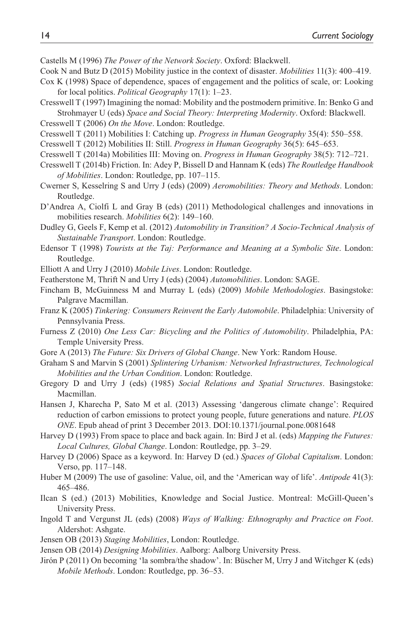Castells M (1996) *The Power of the Network Society*. Oxford: Blackwell.

Cook N and Butz D (2015) Mobility justice in the context of disaster. *Mobilities* 11(3): 400–419.

- Cox K (1998) Space of dependence, spaces of engagement and the politics of scale, or: Looking for local politics. *Political Geography* 17(1): 1–23.
- Cresswell T (1997) Imagining the nomad: Mobility and the postmodern primitive. In: Benko G and Strohmayer U (eds) *Space and Social Theory: Interpreting Modernity*. Oxford: Blackwell.
- Cresswell T (2006) *On the Move*. London: Routledge.
- Cresswell T (2011) Mobilities I: Catching up. *Progress in Human Geography* 35(4): 550–558.
- Cresswell T (2012) Mobilities II: Still. *Progress in Human Geography* 36(5): 645–653.
- Cresswell T (2014a) Mobilities III: Moving on. *Progress in Human Geography* 38(5): 712–721.
- Cresswell T (2014b) Friction. In: Adey P, Bissell D and Hannam K (eds) *The Routledge Handbook of Mobilities*. London: Routledge, pp. 107–115.
- Cwerner S, Kesselring S and Urry J (eds) (2009) *Aeromobilities: Theory and Methods*. London: Routledge.
- D'Andrea A, Ciolfi L and Gray B (eds) (2011) Methodological challenges and innovations in mobilities research. *Mobilities* 6(2): 149–160.
- Dudley G, Geels F, Kemp et al. (2012) *Automobility in Transition? A Socio-Technical Analysis of Sustainable Transport*. London: Routledge.
- Edensor T (1998) *Tourists at the Taj: Performance and Meaning at a Symbolic Site*. London: Routledge.
- Elliott A and Urry J (2010) *Mobile Lives*. London: Routledge.
- Featherstone M, Thrift N and Urry J (eds) (2004) *Automobilities*. London: SAGE.
- Fincham B, McGuinness M and Murray L (eds) (2009) *Mobile Methodologies*. Basingstoke: Palgrave Macmillan.
- Franz K (2005) *Tinkering: Consumers Reinvent the Early Automobile*. Philadelphia: University of Pennsylvania Press.
- Furness Z (2010) *One Less Car: Bicycling and the Politics of Automobility*. Philadelphia, PA: Temple University Press.
- Gore A (2013) *The Future: Six Drivers of Global Change*. New York: Random House.
- Graham S and Marvin S (2001) *Splintering Urbanism: Networked Infrastructures, Technological Mobilities and the Urban Condition*. London: Routledge.
- Gregory D and Urry J (eds) (1985) *Social Relations and Spatial Structures*. Basingstoke: Macmillan.
- Hansen J, Kharecha P, Sato M et al. (2013) Assessing 'dangerous climate change': Required reduction of carbon emissions to protect young people, future generations and nature. *PLOS ONE*. Epub ahead of print 3 December 2013. DOI:10.1371/journal.pone.0081648
- Harvey D (1993) From space to place and back again. In: Bird J et al. (eds) *Mapping the Futures: Local Cultures, Global Change*. London: Routledge, pp. 3–29.
- Harvey D (2006) Space as a keyword. In: Harvey D (ed.) *Spaces of Global Capitalism*. London: Verso, pp. 117–148.
- Huber M (2009) The use of gasoline: Value, oil, and the 'American way of life'. *Antipode* 41(3): 465–486.
- Ilcan S (ed.) (2013) Mobilities, Knowledge and Social Justice. Montreal: McGill-Queen's University Press.
- Ingold T and Vergunst JL (eds) (2008) *Ways of Walking: Ethnography and Practice on Foot*. Aldershot: Ashgate.
- Jensen OB (2013) *Staging Mobilities*, London: Routledge.
- Jensen OB (2014) *Designing Mobilities*. Aalborg: Aalborg University Press.
- Jirón P (2011) On becoming 'la sombra/the shadow'. In: Büscher M, Urry J and Witchger K (eds) *Mobile Methods*. London: Routledge, pp. 36–53.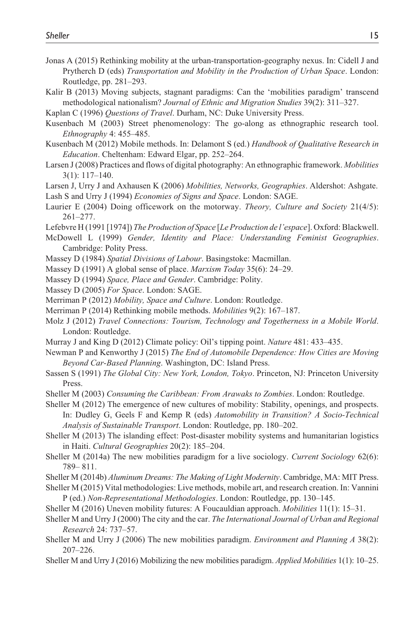- Jonas A (2015) Rethinking mobility at the urban-transportation-geography nexus. In: Cidell J and Prytherch D (eds) *Transportation and Mobility in the Production of Urban Space*. London: Routledge, pp. 281–293.
- Kalir B (2013) Moving subjects, stagnant paradigms: Can the 'mobilities paradigm' transcend methodological nationalism? *Journal of Ethnic and Migration Studies* 39(2): 311–327.

Kaplan C (1996) *Questions of Travel*. Durham, NC: Duke University Press.

- Kusenbach M (2003) Street phenomenology: The go-along as ethnographic research tool. *Ethnography* 4: 455–485.
- Kusenbach M (2012) Mobile methods. In: Delamont S (ed.) *Handbook of Qualitative Research in Education*. Cheltenham: Edward Elgar, pp. 252–264.
- Larsen J (2008) Practices and flows of digital photography: An ethnographic framework. *Mobilities* 3(1): 117–140.
- Larsen J, Urry J and Axhausen K (2006) *Mobilities, Networks, Geographies*. Aldershot: Ashgate. Lash S and Urry J (1994) *Economies of Signs and Space*. London: SAGE.
- Laurier E (2004) Doing officework on the motorway. *Theory, Culture and Society* 21(4/5): 261–277.
- Lefebvre H (1991 [1974]) *The Production of Space* [*Le Production de l'espace*]. Oxford: Blackwell.
- McDowell L (1999) *Gender, Identity and Place: Understanding Feminist Geographies*. Cambridge: Polity Press.
- Massey D (1984) *Spatial Divisions of Labour*. Basingstoke: Macmillan.
- Massey D (1991) A global sense of place. *Marxism Today* 35(6): 24–29.
- Massey D (1994) *Space, Place and Gender*. Cambridge: Polity.
- Massey D (2005) *For Space*. London: SAGE.
- Merriman P (2012) *Mobility, Space and Culture*. London: Routledge.
- Merriman P (2014) Rethinking mobile methods. *Mobilities* 9(2): 167–187.
- Molz J (2012) *Travel Connections: Tourism, Technology and Togetherness in a Mobile World*. London: Routledge.
- Murray J and King D (2012) Climate policy: Oil's tipping point. *Nature* 481: 433–435.
- Newman P and Kenworthy J (2015) *The End of Automobile Dependence: How Cities are Moving Beyond Car-Based Planning*. Washington, DC: Island Press.
- Sassen S (1991) *The Global City: New York, London, Tokyo*. Princeton, NJ: Princeton University Press.
- Sheller M (2003) *Consuming the Caribbean: From Arawaks to Zombies*. London: Routledge.

Sheller M (2012) The emergence of new cultures of mobility: Stability, openings, and prospects. In: Dudley G, Geels F and Kemp R (eds) *Automobility in Transition? A Socio-Technical Analysis of Sustainable Transport*. London: Routledge, pp. 180–202.

- Sheller M (2013) The islanding effect: Post-disaster mobility systems and humanitarian logistics in Haiti. *Cultural Geographies* 20(2): 185–204.
- Sheller M (2014a) The new mobilities paradigm for a live sociology. *Current Sociology* 62(6): 789– 811.
- Sheller M (2014b) *Aluminum Dreams: The Making of Light Modernity*. Cambridge, MA: MIT Press.
- Sheller M (2015) Vital methodologies: Live methods, mobile art, and research creation. In: Vannini P (ed.) *Non-Representational Methodologies*. London: Routledge, pp. 130–145.

Sheller M (2016) Uneven mobility futures: A Foucauldian approach. *Mobilities* 11(1): 15–31.

Sheller M and Urry J (2000) The city and the car. *The International Journal of Urban and Regional Research* 24: 737–57.

- Sheller M and Urry J (2006) The new mobilities paradigm. *Environment and Planning A* 38(2): 207–226.
- Sheller M and Urry J (2016) Mobilizing the new mobilities paradigm. *Applied Mobilities* 1(1): 10–25.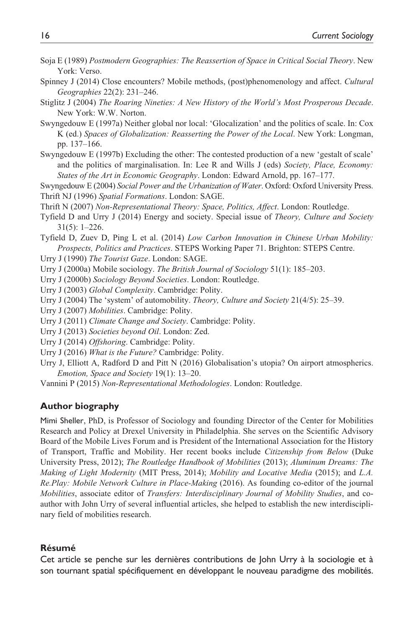- Soja E (1989) *Postmodern Geographies: The Reassertion of Space in Critical Social Theory*. New York: Verso.
- Spinney J (2014) Close encounters? Mobile methods, (post)phenomenology and affect. *Cultural Geographies* 22(2): 231–246.
- Stiglitz J (2004) *The Roaring Nineties: A New History of the World's Most Prosperous Decade*. New York: W.W. Norton.
- Swyngedouw E (1997a) Neither global nor local: 'Glocalization' and the politics of scale. In: Cox K (ed.) *Spaces of Globalization: Reasserting the Power of the Local*. New York: Longman, pp. 137–166.
- Swyngedouw E (1997b) Excluding the other: The contested production of a new 'gestalt of scale' and the politics of marginalisation. In: Lee R and Wills J (eds) *Society, Place, Economy: States of the Art in Economic Geography*. London: Edward Arnold, pp. 167–177.

Swyngedouw E (2004) *Social Power and the Urbanization of Water*. Oxford: Oxford University Press. Thrift NJ (1996) *Spatial Formations*. London: SAGE.

Thrift N (2007) *Non-Representational Theory: Space, Politics, Affect*. London: Routledge.

Tyfield D and Urry J (2014) Energy and society. Special issue of *Theory, Culture and Society* 31(5): 1–226.

Tyfield D, Zuev D, Ping L et al. (2014) *Low Carbon Innovation in Chinese Urban Mobility: Prospects, Politics and Practices*. STEPS Working Paper 71. Brighton: STEPS Centre.

Urry J (1990) *The Tourist Gaze*. London: SAGE.

Urry J (2000a) Mobile sociology. *The British Journal of Sociology* 51(1): 185–203.

- Urry J (2000b) *Sociology Beyond Societies*. London: Routledge.
- Urry J (2003) *Global Complexity*. Cambridge: Polity.
- Urry J (2004) The 'system' of automobility. *Theory, Culture and Society* 21(4/5): 25–39.
- Urry J (2007) *Mobilities*. Cambridge: Polity.
- Urry J (2011) *Climate Change and Society*. Cambridge: Polity.
- Urry J (2013) *Societies beyond Oil*. London: Zed.
- Urry J (2014) *Offshoring*. Cambridge: Polity.
- Urry J (2016) *What is the Future?* Cambridge: Polity.
- Urry J, Elliott A, Radford D and Pitt N (2016) Globalisation's utopia? On airport atmospherics. *Emotion, Space and Society* 19(1): 13–20.
- Vannini P (2015) *Non-Representational Methodologies*. London: Routledge.

#### **Author biography**

Mimi Sheller, PhD, is Professor of Sociology and founding Director of the Center for Mobilities Research and Policy at Drexel University in Philadelphia. She serves on the Scientific Advisory Board of the Mobile Lives Forum and is President of the International Association for the History of Transport, Traffic and Mobility. Her recent books include *Citizenship from Below* (Duke University Press, 2012); *The Routledge Handbook of Mobilities* (2013); *Aluminum Dreams: The Making of Light Modernity* (MIT Press, 2014); *Mobility and Locative Media* (2015); and *L.A. Re.Play: Mobile Network Culture in Place-Making* (2016). As founding co-editor of the journal *Mobilities*, associate editor of *Transfers: Interdisciplinary Journal of Mobility Studies*, and coauthor with John Urry of several influential articles, she helped to establish the new interdisciplinary field of mobilities research.

#### **Résumé**

Cet article se penche sur les dernières contributions de John Urry à la sociologie et à son tournant spatial spécifiquement en développant le nouveau paradigme des mobilités.